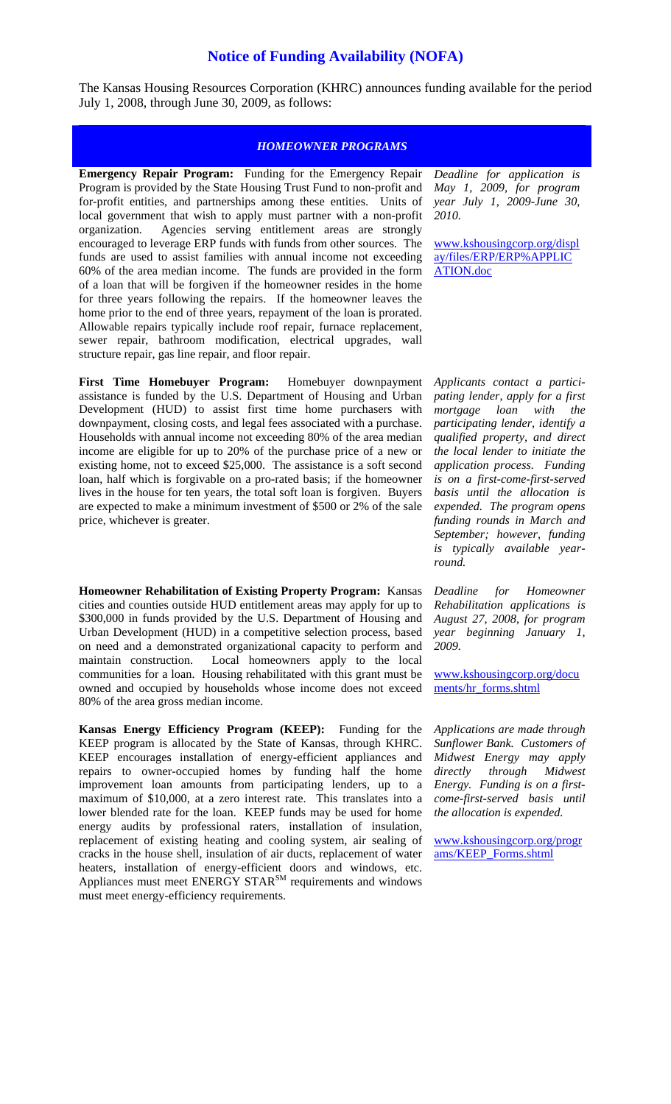## **Notice of Funding Availability (NOFA)**

The Kansas Housing Resources Corporation (KHRC) announces funding available for the period July 1, 2008, through June 30, 2009, as follows:

## *HOMEOWNER PROGRAMS*

**Emergency Repair Program:** Funding for the Emergency Repair Program is provided by the State Housing Trust Fund to non-profit and for-profit entities, and partnerships among these entities. Units of local government that wish to apply must partner with a non-profit organization. Agencies serving entitlement areas are strongly encouraged to leverage ERP funds with funds from other sources. The funds are used to assist families with annual income not exceeding 60% of the area median income. The funds are provided in the form of a loan that will be forgiven if the homeowner resides in the home for three years following the repairs. If the homeowner leaves the home prior to the end of three years, repayment of the loan is prorated. Allowable repairs typically include roof repair, furnace replacement, sewer repair, bathroom modification, electrical upgrades, wall structure repair, gas line repair, and floor repair.

**First Time Homebuyer Program:** Homebuyer downpayment assistance is funded by the U.S. Department of Housing and Urban Development (HUD) to assist first time home purchasers with downpayment, closing costs, and legal fees associated with a purchase. Households with annual income not exceeding 80% of the area median income are eligible for up to 20% of the purchase price of a new or existing home, not to exceed \$25,000. The assistance is a soft second loan, half which is forgivable on a pro-rated basis; if the homeowner lives in the house for ten years, the total soft loan is forgiven. Buyers are expected to make a minimum investment of \$500 or 2% of the sale price, whichever is greater.

**Homeowner Rehabilitation of Existing Property Program:** Kansas cities and counties outside HUD entitlement areas may apply for up to \$300,000 in funds provided by the U.S. Department of Housing and Urban Development (HUD) in a competitive selection process, based on need and a demonstrated organizational capacity to perform and maintain construction. Local homeowners apply to the local communities for a loan. Housing rehabilitated with this grant must be owned and occupied by households whose income does not exceed 80% of the area gross median income.

**Kansas Energy Efficiency Program (KEEP):** Funding for the KEEP program is allocated by the State of Kansas, through KHRC. KEEP encourages installation of energy-efficient appliances and repairs to owner-occupied homes by funding half the home improvement loan amounts from participating lenders, up to a maximum of \$10,000, at a zero interest rate. This translates into a lower blended rate for the loan. KEEP funds may be used for home energy audits by professional raters, installation of insulation, replacement of existing heating and cooling system, air sealing of cracks in the house shell, insulation of air ducts, replacement of water heaters, installation of energy-efficient doors and windows, etc. Appliances must meet ENERGY STAR<sup>SM</sup> requirements and windows must meet energy-efficiency requirements.

*Deadline for application is May 1, 2009, for program year July 1, 2009-June 30, 2010.*

[www.kshousingcorp.org/displ](http://www.kshousingcorp.org/display/files/ERP/ERP%APPLICATION.doc) [ay/files/ERP/ERP%APPLIC](http://www.kshousingcorp.org/display/files/ERP/ERP%APPLICATION.doc) [ATION.doc](http://www.kshousingcorp.org/display/files/ERP/ERP%APPLICATION.doc) 

*Applicants contact a participating lender, apply for a first mortgage loan with the participating lender, identify a qualified property, and direct the local lender to initiate the application process. Funding is on a first-come-first-served basis until the allocation is expended. The program opens funding rounds in March and September; however, funding is typically available yearround.* 

*Deadline for Homeowner Rehabilitation applications is August 27, 2008, for program year beginning January 1, 2009.*

[www.kshousingcorp.org/docu](http://www.kshousingcorp.org/documents/hr_forms.shtml) [ments/hr\\_forms.shtml](http://www.kshousingcorp.org/documents/hr_forms.shtml) 

*Applications are made through Sunflower Bank. Customers of Midwest Energy may apply directly through Midwest Energy. Funding is on a firstcome-first-served basis until the allocation is expended.*

[www.kshousingcorp.org/progr](http://www.kshousingcorp.org/programs/KEEP_Forms.shtml) [ams/KEEP\\_Forms.shtml](http://www.kshousingcorp.org/programs/KEEP_Forms.shtml)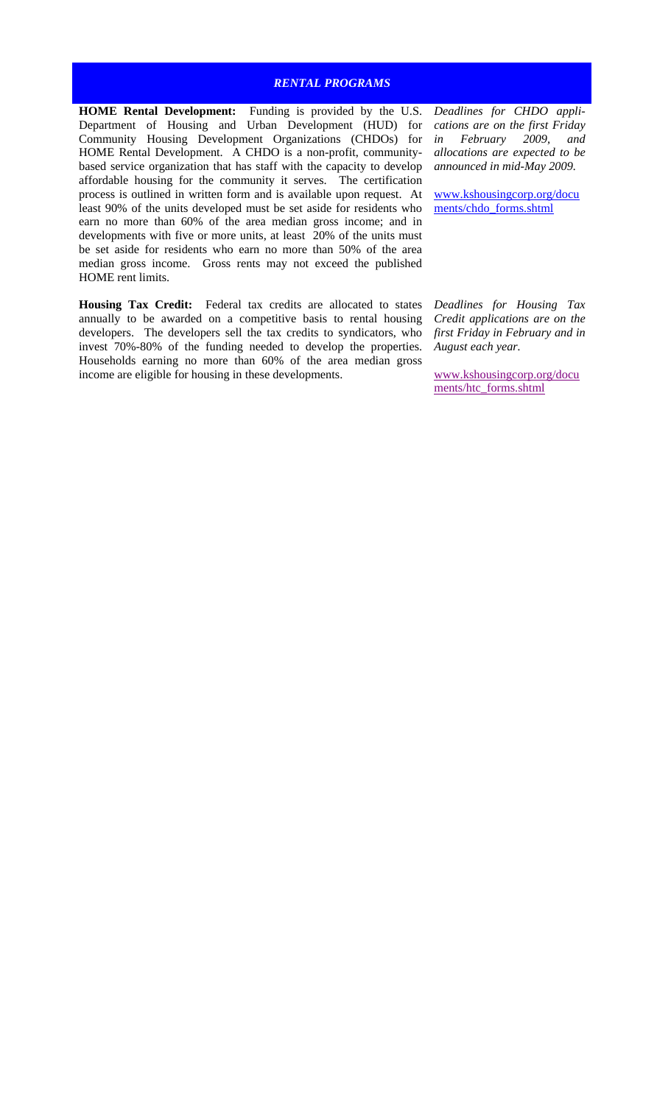## *RENTAL PROGRAMS*

**HOME Rental Development:** Funding is provided by the U.S. Department of Housing and Urban Development (HUD) for Community Housing Development Organizations (CHDOs) for HOME Rental Development. A CHDO is a non-profit, communitybased service organization that has staff with the capacity to develop affordable housing for the community it serves. The certification process is outlined in written form and is available upon request. At least 90% of the units developed must be set aside for residents who earn no more than 60% of the area median gross income; and in developments with five or more units, at least 20% of the units must be set aside for residents who earn no more than 50% of the area median gross income. Gross rents may not exceed the published HOME rent limits.

**Housing Tax Credit:** Federal tax credits are allocated to states annually to be awarded on a competitive basis to rental housing developers. The developers sell the tax credits to syndicators, who invest 70%-80% of the funding needed to develop the properties. Households earning no more than 60% of the area median gross income are eligible for housing in these developments.

*Deadlines for CHDO applications are on the first Friday in February 2009, and allocations are expected to be announced in mid-May 2009.*

[www.kshousingcorp.org/docu](http://www.kshousingcorp.org/documents/chdo_forms.shtml) [ments/chdo\\_forms.shtml](http://www.kshousingcorp.org/documents/chdo_forms.shtml)

*Deadlines for Housing Tax Credit applications are on the first Friday in February and in August each year.*

www.kshousingcorp.org/docu ments/htc\_forms.shtm[l](http://www.kshousingcorp.org/documents/htc_forms.shtml)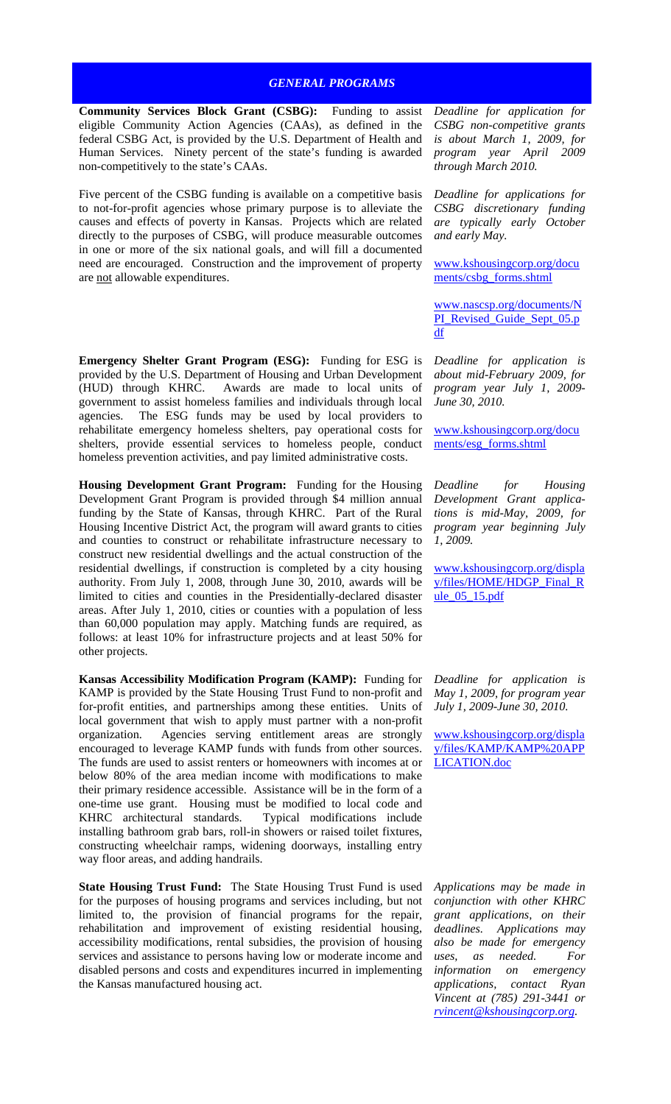## *GENERAL PROGRAMS*

**Community Services Block Grant (CSBG):** Funding to assist eligible Community Action Agencies (CAAs), as defined in the federal CSBG Act, is provided by the U.S. Department of Health and Human Services. Ninety percent of the state's funding is awarded non-competitively to the state's CAAs.

Five percent of the CSBG funding is available on a competitive basis to not-for-profit agencies whose primary purpose is to alleviate the causes and effects of poverty in Kansas. Projects which are related directly to the purposes of CSBG, will produce measurable outcomes in one or more of the six national goals, and will fill a documented need are encouraged. Construction and the improvement of property are not allowable expenditures.

**Emergency Shelter Grant Program (ESG):** Funding for ESG is provided by the U.S. Department of Housing and Urban Development (HUD) through KHRC. Awards are made to local units of government to assist homeless families and individuals through local agencies. The ESG funds may be used by local providers to rehabilitate emergency homeless shelters, pay operational costs for shelters, provide essential services to homeless people, conduct homeless prevention activities, and pay limited administrative costs.

**Housing Development Grant Program:** Funding for the Housing Development Grant Program is provided through \$4 million annual funding by the State of Kansas, through KHRC. Part of the Rural Housing Incentive District Act, the program will award grants to cities and counties to construct or rehabilitate infrastructure necessary to construct new residential dwellings and the actual construction of the residential dwellings, if construction is completed by a city housing authority. From July 1, 2008, through June 30, 2010, awards will be limited to cities and counties in the Presidentially-declared disaster areas. After July 1, 2010, cities or counties with a population of less than 60,000 population may apply. Matching funds are required, as follows: at least 10% for infrastructure projects and at least 50% for other projects.

**Kansas Accessibility Modification Program (KAMP):** Funding for KAMP is provided by the State Housing Trust Fund to non-profit and for-profit entities, and partnerships among these entities. Units of local government that wish to apply must partner with a non-profit organization. Agencies serving entitlement areas are strongly encouraged to leverage KAMP funds with funds from other sources. The funds are used to assist renters or homeowners with incomes at or below 80% of the area median income with modifications to make their primary residence accessible. Assistance will be in the form of a one-time use grant. Housing must be modified to local code and KHRC architectural standards. Typical modifications include installing bathroom grab bars, roll-in showers or raised toilet fixtures, constructing wheelchair ramps, widening doorways, installing entry way floor areas, and adding handrails.

**State Housing Trust Fund:** The State Housing Trust Fund is used for the purposes of housing programs and services including, but not limited to, the provision of financial programs for the repair, rehabilitation and improvement of existing residential housing, accessibility modifications, rental subsidies, the provision of housing services and assistance to persons having low or moderate income and disabled persons and costs and expenditures incurred in implementing the Kansas manufactured housing act.

*Deadline for application for CSBG non-competitive grants is about March 1, 2009, for program year April 2009 through March 2010.*

*Deadline for applications for CSBG discretionary funding are typically early October and early May.*

[www.kshousingcorp.org/docu](http://www.kshousingcorp.org/documents/csbg_forms.shtml) [ments/csbg\\_forms.shtml](http://www.kshousingcorp.org/documents/csbg_forms.shtml) 

[www.nascsp.org/documents/N](http://www.nascsp.org/documents/NPI_Revised_Guide_Sept_05.pdf) [PI\\_Revised\\_Guide\\_Sept\\_05.p](http://www.nascsp.org/documents/NPI_Revised_Guide_Sept_05.pdf) [df](http://www.nascsp.org/documents/NPI_Revised_Guide_Sept_05.pdf)

*Deadline for application is about mid-February 2009, for program year July 1, 2009- June 30, 2010.*

[www.kshousingcorp.org/docu](http://www.kshousingcorp.org/documents/esg_forms.shtml) [ments/esg\\_forms.shtml](http://www.kshousingcorp.org/documents/esg_forms.shtml)

*Deadline for Housing Development Grant applications is mid-May, 2009, for program year beginning July 1, 2009.*

[www.kshousingcorp.org/displa](http://www.kshousingcorp.org/display/files/HOME/HDGP_Final_Rule_05_15.pdf) [y/files/HOME/HDGP\\_Final\\_R](http://www.kshousingcorp.org/display/files/HOME/HDGP_Final_Rule_05_15.pdf) [ule\\_05\\_15.pdf](http://www.kshousingcorp.org/display/files/HOME/HDGP_Final_Rule_05_15.pdf) 

*Deadline for application is May 1, 2009, for program year July 1, 2009-June 30, 2010.*

[www.kshousingcorp.org/displa](http://www.kshousingcorp.org/display/files/KAMP/KAMP APPLICATION.doc) [y/files/KAMP/KAMP%20APP](http://www.kshousingcorp.org/display/files/KAMP/KAMP APPLICATION.doc) [LICATION.doc](http://www.kshousingcorp.org/display/files/KAMP/KAMP APPLICATION.doc) 

*Applications may be made in conjunction with other KHRC grant applications, on their deadlines. Applications may also be made for emergency uses, as needed. For information on emergency applications, contact Ryan Vincent at (785) 291-3441 or [rvincent@kshousingcorp.org](mailto:rvincent@kshousingcorp.org).*